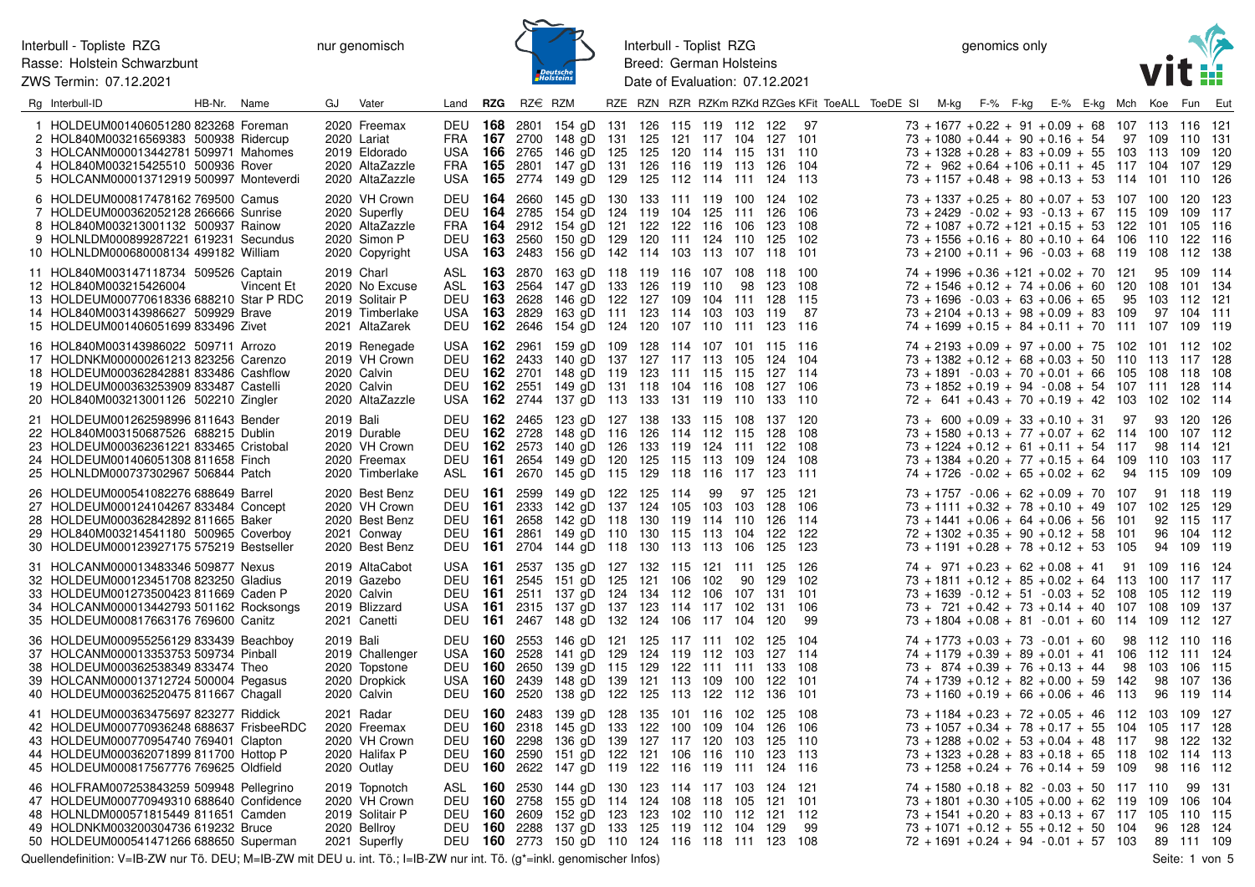ZWS Termin: 07.12.2021



Interbull - Toplist RZG Breed: German Holsteins Date of Evaluation: 07.12.2021

genomics only



| Rg Interbull-ID                                                                                                                                                                                                | HB-Nr. Name |            | GJ.       | Vater                                                                                |                                                           | Land <b>RZG</b>                       | RZ€ RZM                                    |                                                                                                                                                                                                                                                               |  |    |                   |                                         | RZE RZN RZR RZKm RZKd RZGes KFit ToeALL ToeDE SI M-kg F-% F-kg E-% E-kg Mch Koe Fun Eut |                                                                                                                                                                                                                                                                            |  |  |    |                 |                                                              |       |
|----------------------------------------------------------------------------------------------------------------------------------------------------------------------------------------------------------------|-------------|------------|-----------|--------------------------------------------------------------------------------------|-----------------------------------------------------------|---------------------------------------|--------------------------------------------|---------------------------------------------------------------------------------------------------------------------------------------------------------------------------------------------------------------------------------------------------------------|--|----|-------------------|-----------------------------------------|-----------------------------------------------------------------------------------------|----------------------------------------------------------------------------------------------------------------------------------------------------------------------------------------------------------------------------------------------------------------------------|--|--|----|-----------------|--------------------------------------------------------------|-------|
| 1 HOLDEUM001406051280 823268 Foreman<br>2 HOL840M003216569383 500938 Ridercup<br>3 HOLCANM000013442781 509971 Mahomes<br>4 HOL840M003215425510 500936 Rover<br>5 HOLCANM000013712919 500997 Monteverdi         |             |            |           | 2020 Freemax<br>2020 Lariat<br>2019 Eldorado<br>2020 AltaZazzle<br>2020 AltaZazzle   | FRA<br>USA                                                |                                       |                                            | DEU 168 2801 154 gD 131 126 115 119 112 122<br>FRA 167 2700 148 gD 131 125 121 117 104 127 101<br>USA 166 2765 146 gD 125 125 120 114 115 131 110<br><b>165</b> 2801 147 gD 131 126 116 119 113 126 104<br><b>165</b> 2774 149 gD 129 125 112 114 111 124 113 |  |    |                   |                                         | 97                                                                                      | $73 + 1677 + 0.22 + 91 + 0.09 + 68$ 107 113 116 121<br>$73 + 1080 + 0.44 + 90 + 0.16 + 54$ 97 109 110 131<br>$73 + 1328 + 0.28 + 83 + 0.09 + 55$ 103 113 109 120<br>$72 + 962 + 0.64 + 106 + 0.11 + 45$ 117 104 107 129<br>$73 + 1157 + 0.48 + 98 + 0.13 + 53$ 114 101 110 |  |  |    |                 |                                                              | 126   |
| 6 HOLDEUM000817478162 769500 Camus<br>7 HOLDEUM000362052128 266666 Sunrise<br>8 HOL840M003213001132 500937 Rainow<br>9 HOLNLDM000899287221 619231 Secundus<br>10 HOLNLDM000680008134 499182 William            |             |            |           | 2020 VH Crown<br>2020 Superfly<br>2020 AltaZazzle<br>2020 Simon P<br>2020 Copyright  | DEU                                                       |                                       |                                            | DEU 164 2660 145 gD 130 133 111 119 100 124 102<br><b>164</b> 2785 154 gD 124 119 104 125 111 126 106<br>FRA 164 2912 154 gD 121 122 122 116 106 123 108<br>DEU 163 2560 150 gD 129 120 111 124 110<br>USA 163 2483 156 gD 142 114 103 113 107 118 101        |  |    |                   | 125 102                                 |                                                                                         | $73 + 1337 + 0.25 + 80 + 0.07 + 53$ 107 100 120 123<br>$73 + 2429 - 0.02 + 93 - 0.13 + 67$ 115<br>$72 + 1087 + 0.72 + 121 + 0.15 + 53$ 122<br>$73 + 1556 + 0.16 + 80 + 0.10 + 64$ 106<br>$73 + 2100 + 0.11 + 96 - 0.03 + 68$ 119 108 112 138                               |  |  |    | 109             | 109 117<br>101 105 116<br>110 122 116                        |       |
| 11 HOL840M003147118734 509526 Captain<br>12 HOL840M003215426004<br>13 HOLDEUM000770618336 688210 Star P RDC<br>14 HOL840M003143986627 509929 Brave<br>15 HOLDEUM001406051699 833496 Zivet                      |             | Vincent Et |           | 2019 Charl<br>2020 No Excuse<br>2019 Solitair P<br>2019 Timberlake<br>2021 AltaZarek | ASL                                                       |                                       | DEU 163 2628                               | <b>163</b> 2870 163 gD 118 119 116 107 108 118 100<br>ASL 163 2564 147 gD 133 126 119 110<br>146 gD 122 127 109 104 111 128 115<br>USA 163 2829 163 qD 111 123 114 103 103 119<br>DEU 162 2646 154 gD 124 120 107 110 111 123 116                             |  |    |                   | 98 123 108                              | - 87                                                                                    | $74 + 1996 + 0.36 + 121 + 0.02 + 70$ 121<br>$72 + 1546 + 0.12 + 74 + 0.06 + 60$ 120 108 101 134<br>$73 + 1696 - 0.03 + 63 + 0.06 + 65$<br>$73 + 2104 + 0.13 + 98 + 0.09 + 83$ 109<br>$74 + 1699 + 0.15 + 84 + 0.11 + 70$ 111 107 109 119                                   |  |  | 95 |                 | 95 109 114<br>103 112 121<br>97 104 111                      |       |
| 16 HOL840M003143986022 509711 Arrozo<br>17 HOLDNKM000000261213 823256 Carenzo<br>18 HOLDEUM000362842881 833486 Cashflow<br>19 HOLDEUM000363253909 833487 Castelli<br>20 HOL840M003213001126 502210 Zingler     |             |            |           | 2019 Renegade<br>2019 VH Crown<br>2020 Calvin<br>2020 Calvin<br>2020 AltaZazzle      | DEU                                                       |                                       |                                            | USA 162 2961 159 gD 109 128 114 107 101 115 116<br><b>162</b> 2433 140 gD 137 127 117 113 105<br>DEU 162 2701 148 qD 119 123 111 115 115 127 114<br>DEU 162 2551 149 gD 131 118 104 116 108<br>USA 162 2744 137 gD 113 133 131 119 110                        |  |    |                   | 124 104<br>127 106<br>133 110           |                                                                                         | $74 + 2193 + 0.09 + 97 + 0.00 + 75$ 102 101 112 102<br>$73 + 1382 + 0.12 + 68 + 0.03 + 50$ 110<br>$73 + 1891 - 0.03 + 70 + 0.01 + 66$ 105<br>$73 + 1852 + 0.19 + 94 - 0.08 + 54$ 107 111 128 114<br>$72 + 641 + 0.43 + 70 + 0.19 + 42$ 103 102                             |  |  |    |                 | 113 117 128<br>108 118 108<br>102 114                        |       |
| 21 HOLDEUM001262598996 811643 Bender<br>22 HOL840M003150687526 688215 Dublin<br>23 HOLDEUM000362361221 833465 Cristobal<br>24 HOLDEUM001406051308 811658 Finch<br>25 HOLNLDM000737302967 506844 Patch          |             |            | 2019 Bali | 2019 Durable<br>2020 VH Crown<br>2020 Freemax<br>2020 Timberlake                     | DEU<br>DEU<br>ASL <b>161</b>                              |                                       | <b>162</b> 2728                            | DEU 162 2465 123 gD 127 138 133 115 108<br>148 gD 116 126 114 112 115<br>DEU 162 2573 140 gD 126 133 119 124 111 122 108<br><b>161</b> 2654 149 gD 120 125 115 113 109<br>2670 145 gD 115 129 118 116 117 123 111                                             |  |    |                   | 137 120<br>128 108<br>124 108           |                                                                                         | $73 + 600 + 0.09 + 33 + 0.10 + 31$ 97<br>$73 + 1580 + 0.13 + 77 + 0.07 + 62$ 114 100 107 112<br>$73 + 1224 + 0.12 + 61 + 0.11 + 54$ 117<br>$73 + 1384 + 0.20 + 77 + 0.15 + 64$ 109<br>$74 + 1726 - 0.02 + 65 + 0.02 + 62$ 94 115                                           |  |  |    | 93<br>110       | 120 126<br>98 114 121<br>103<br>109 109                      | - 117 |
| 26 HOLDEUM000541082276 688649 Barrel<br>27 HOLDEUM000124104267 833484 Concept<br>28 HOLDEUM000362842892 811665 Baker<br>29 HOL840M003214541180 500965 Coverboy<br>30 HOLDEUM000123927175 575219 Bestseller     |             |            |           | 2020 Best Benz<br>2020 VH Crown<br>2020 Best Benz<br>2021 Conway<br>2020 Best Benz   | <b>DEU 161</b><br><b>DEU 161</b><br>DEU<br><b>DEU 161</b> | - 161<br><b>DEU 161</b>               | 2658                                       | 2599 149 gD 122 125 114<br>2333 142 gD 137 124 105 103 103 128 106<br>142 gD 118 130 119 114 110<br>2861 149 gD 110 130 115 113<br>2704 144 gD 118 130 113 113 106                                                                                            |  | 99 | 104               | 97 125 121<br>126 114<br>122 122<br>125 | - 123                                                                                   | $73 + 1757 - 0.06 + 62 + 0.09 + 70$ 107 91 118 119<br>$73 + 1111 + 0.32 + 78 + 0.10 + 49$ 107 102 125 129<br>$73 + 1441 + 0.06 + 64 + 0.06 + 56$ 101<br>$72 + 1302 + 0.35 + 90 + 0.12 + 58$ 101<br>$73 + 1191 + 0.28 + 78 + 0.12 + 53$ 105                                 |  |  |    | 92<br>96        | 115 117<br>104 112<br>94 109 119                             |       |
| 31 HOLCANM000013483346 509877 Nexus<br>32 HOLDEUM000123451708 823250 Gladius<br>33 HOLDEUM001273500423 811669 Caden P<br>34 HOLCANM000013442793 501162 Rocksongs<br>35 HOLDEUM000817663176 769600 Canitz       |             |            |           | 2019 AltaCabot<br>2019 Gazebo<br>2020 Calvin<br>2019 Blizzard<br>2021 Canetti        | DEU<br><b>DEU 161</b><br>USA<br>DEU                       | USA <b>161</b><br>- 161<br>161<br>161 |                                            | 2537 135 gD 127 132 115 121 111 125 126<br>2545 151 gD 125 121 106 102<br>2511 137 gD 124 134 112 106<br>2315 137 gD 137 123 114 117 102<br>2467 148 gD 132 124 106 117 104                                                                                   |  |    | 90<br>107 131 101 | 129<br>131 106<br>120                   | 102<br>-99                                                                              | $74 + 971 + 0.23 + 62 + 0.08 + 41$ 91 109 116 124<br>$73 + 1811 + 0.12 + 85 + 0.02 + 64$ 113<br>$73 + 1639 - 0.12 + 51 - 0.03 + 52$ 108<br>$73 + 721 + 0.42 + 73 + 0.14 + 40$ 107 108<br>$73 + 1804 + 0.08 + 81 - 0.01 + 60$ 114 109 112 127                               |  |  |    | 105             | 100 117 117<br>112 119<br>109 137                            |       |
| 36 HOLDEUM000955256129 833439 Beachboy<br>37 HOLCANM000013353753 509734 Pinball<br>38 HOLDEUM000362538349 833474 Theo<br>39 HOLCANM000013712724 500004 Pegasus<br>40 HOLDEUM000362520475 811667 Chagall        |             |            | 2019 Bali | 2019 Challenger<br>2020 Topstone<br>2020 Dropkick<br>2020 Calvin                     | USA <b>160</b><br>DEU<br>USA<br>DEU                       |                                       | 2528<br><b>160</b> 2650<br><b>160</b> 2520 | DEU 160 2553 146 gD 121 125 117 111 102 125 104<br>141 gD 129 124 119 112 103<br>139 gD 115 129 122 111 111<br><b>160</b> 2439 148 gD 139 121 113 109 100 122 101<br>138 gD 122 125 113 122 112                                                               |  |    |                   | 127 114<br>133 108<br>136               | - 101                                                                                   | $74 + 1773 + 0.03 + 73 - 0.01 + 60$ 98 112 110 116<br>$74 + 1179 + 0.39 + 89 + 0.01 + 41$ 106 112 111 124<br>$73 + 874 + 0.39 + 76 + 0.13 + 44$<br>$74 + 1739 + 0.12 + 82 + 0.00 + 59$ 142<br>$73 + 1160 + 0.19 + 66 + 0.06 + 46$ 113                                      |  |  | 98 | 103<br>98<br>96 | 106 115<br>107 136<br>119 114                                |       |
| 41 HOLDEUM000363475697 823277 Riddick<br>42 HOLDEUM000770936248 688637 FrisbeeRDC<br>43 HOLDEUM000770954740 769401 Clapton<br>44 HOLDEUM000362071899 811700 Hottop P<br>45 HOLDEUM000817567776 769625 Oldfield |             |            |           | 2021 Radar<br>2020 Freemax<br>2020 VH Crown<br>2020 Halifax P<br>2020 Outlay         | DEU<br>DEU<br>DEU                                         | <b>DEU 160</b><br>160                 | <b>160</b> 2318<br>2298<br>DEU 160 2622    | <b>160</b> 2483 139 gD 128 135 101 116 102 125 108<br>145 gD 133 122 100 109<br>136 gD 139 127 117 120 103<br>2590 151 gD 122 121 106 116<br>147 gD 119 122 116 119 111 124 116                                                                               |  |    | 104<br>110        | 126 106<br>125 110<br>123 113           |                                                                                         | $73 + 1184 + 0.23 + 72 + 0.05 + 46$ 112 103 109 127<br>$73 + 1057 + 0.34 + 78 + 0.17 + 55$ 104 105 117 128<br>$73 + 1288 + 0.02 + 53 + 0.04 + 48$ 117<br>$73 + 1323 + 0.28 + 83 + 0.18 + 65$ 118<br>$73 + 1258 + 0.24 + 76 + 0.14 + 59$ 109                                |  |  |    | 98<br>102<br>98 | 122 132<br>114 113<br>116 112                                |       |
| 46 HOLFRAM007253843259 509948 Pellegrino<br>47 HOLDEUM000770949310 688640 Confidence<br>48 HOLNLDM000571815449 811651 Camden<br>49 HOLDNKM003200304736 619232 Bruce<br>50 HOLDEUM000541471266 688650 Superman  |             |            |           | 2019 Topnotch<br>2020 VH Crown<br>2019 Solitair P<br>2020 Bellroy<br>2021 Superfly   | DEU                                                       |                                       |                                            | ASL 160 2530 144 gD 130 123 114 117 103 124 121<br>DEU 160 2758 155 gD 114 124 108 118 105<br><b>160</b> 2609 152 gD 123 123 102 110 112 121 112<br>DEU 160 2288 137 gD 133 125 119 112 104 129<br>DEU 160 2773 150 gD 110 124 116 118 111 123 108            |  |    |                   | 121 101                                 | -99                                                                                     | $74 + 1580 + 0.18 + 82 - 0.03 + 50$ 117 110<br>$73 + 1801 + 0.30 + 105 + 0.00 + 62$ 119<br>$73 + 1541 + 0.20 + 83 + 0.13 + 67$ 117 105<br>$73 + 1071 + 0.12 + 55 + 0.12 + 50$ 104<br>$72 + 1691 + 0.24 + 94 - 0.01 + 57$ 103                                               |  |  |    |                 | 99 131<br>109 106 104<br>110 115<br>96 128 124<br>89 111 109 |       |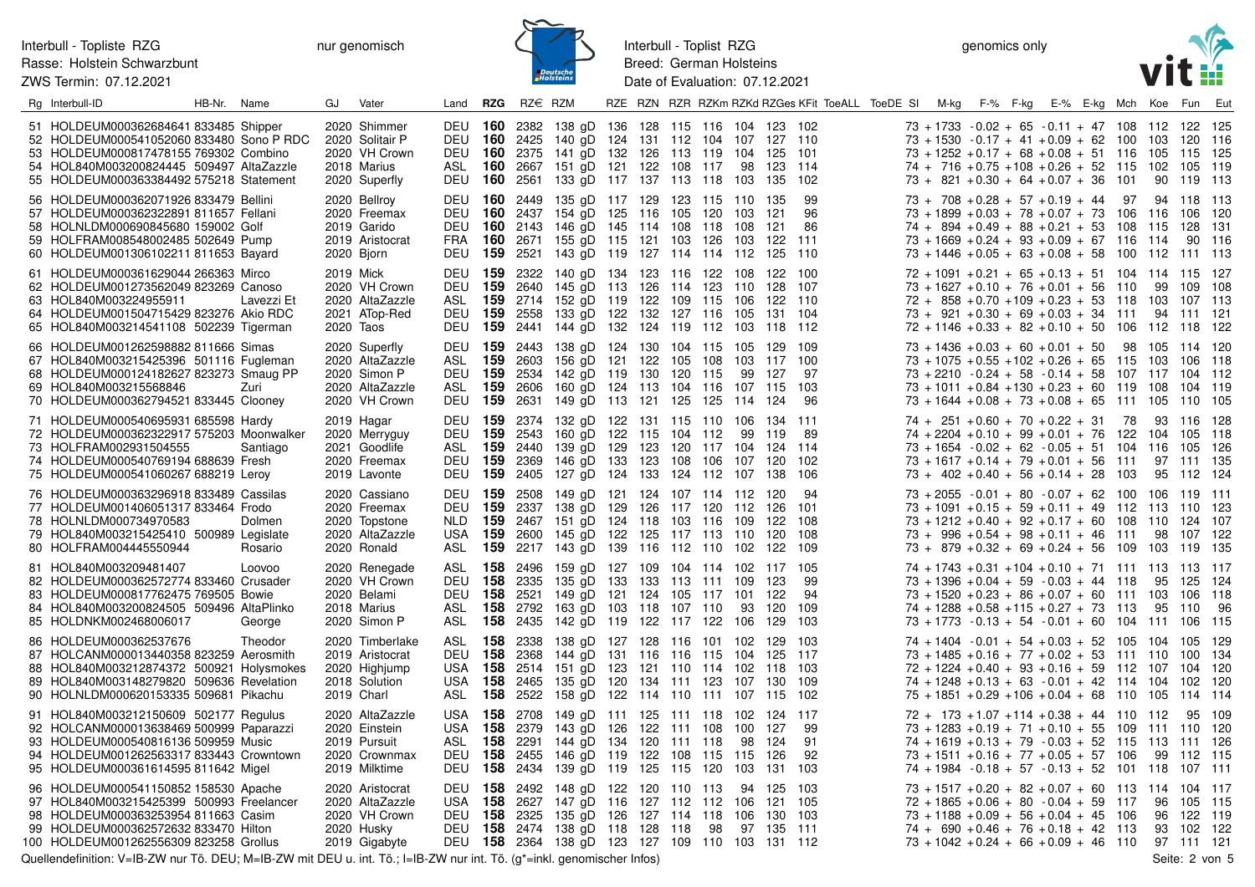ZWS Termin: 07.12.2021



Interbull - Toplist RZG Breed: German Holsteins Date of Evaluation: 07.12.2021

genomics only



| Rg Interbull-ID                                                                                                                                                                                                   | HB-Nr. Name |                   | GJ                     | Vater                                                                                |                                                                                  |            | Land <b>RZG</b> RZ $\in$ RZM         |                                                                                                                                                                                            |  |    |             |                                   |                         | RZE RZN RZR RZKm RZKd RZGes KFit ToeALL ToeDE SI M-kg F-% F-kg E-% E-kg Mch Koe Fun Eut |                                                                                                                                                                                                                                                       |  |  |                 |                                               |                                 |
|-------------------------------------------------------------------------------------------------------------------------------------------------------------------------------------------------------------------|-------------|-------------------|------------------------|--------------------------------------------------------------------------------------|----------------------------------------------------------------------------------|------------|--------------------------------------|--------------------------------------------------------------------------------------------------------------------------------------------------------------------------------------------|--|----|-------------|-----------------------------------|-------------------------|-----------------------------------------------------------------------------------------|-------------------------------------------------------------------------------------------------------------------------------------------------------------------------------------------------------------------------------------------------------|--|--|-----------------|-----------------------------------------------|---------------------------------|
| 51 HOLDEUM000362684641 833485 Shipper<br>52 HOLDEUM000541052060 833480 Sono P RDC<br>53 HOLDEUM000817478155 769302 Combino<br>54 HOL840M003200824445 509497 AltaZazzle<br>55 HOLDEUM000363384492 575218 Statement |             |                   |                        | 2020 Shimmer<br>2020 Solitair P<br>2020 VH Crown<br>2018 Marius<br>2020 Superfly     | <b>DEU 160</b><br>DEU 160 2425<br>DEU 160 2375<br>ASL<br><b>DEU 160</b>          | 160        | 2382<br>2561                         | 138 gD 136 128 115 116 104 123 102<br>140 gD 124 131 112 104 107 127 110<br>141 gD 132 126 113 119 104 125 101<br>2667 151 gD 121 122 108 117<br>133 gD 117 137 113 118 103                |  |    |             | 98 123 114<br>135                 | 102                     |                                                                                         | $73 + 1733 - 0.02 + 65 - 0.11 + 47$ 108 112 122<br>$73 + 1530 - 0.17 + 41 + 0.09 + 62$ 100 103 120<br>73 + 1252 + 0.17 + 68 + 0.08 + 51 116 105 115 125<br>$74 + 716 + 0.75 + 108 + 0.26 + 52$ 115 102<br>$73 + 821 + 0.30 + 64 + 0.07 + 36$ 101      |  |  | 90              | -105<br>119                                   | - 125<br>116<br>- 119<br>- 113  |
| 56 HOLDEUM000362071926 833479 Bellini<br>57 HOLDEUM000362322891 811657 Fellani<br>58 HOLNLDM000690845680 159002 Golf<br>59 HOLFRAM008548002485 502649 Pump<br>60 HOLDEUM001306102211 811653 Bayard                |             |                   |                        | 2020 Bellroy<br>2020 Freemax<br>2019 Garido<br>2019 Aristocrat<br>2020 Bjorn         | <b>DEU 160</b><br>DEU<br>FRA<br><b>DEU 159</b>                                   | 160        | DEU 160 2449<br><b>160</b> 2143      | 135 gD 117 129 123 115 110 135<br>2437 154 gD 125 116 105 120 103<br>146 gD 145 114 108 118<br>2671 155 gD 115 121 103 126<br>2521 143 gD 119 127 114 114 112 125 110                      |  |    | -108<br>103 | -121<br>-121<br>122 111           | 99<br>96<br>86          |                                                                                         | $73 + 708 + 0.28 + 57 + 0.19 + 44$ 97<br>$73 + 1899 + 0.03 + 78 + 0.07 + 73$ 106 116<br>$74 + 894 + 0.49 + 88 + 0.21 + 53$ 108<br>$73 + 1669 + 0.24 + 93 + 0.09 + 67$ 116 114<br>$73 + 1446 + 0.05 + 63 + 0.08 + 58$ 100 112 111 113                  |  |  | 94 118<br>- 115 | 106<br>-128<br>90                             | - 113<br>- 120<br>-131<br>116   |
| 61 HOLDEUM000361629044 266363 Mirco<br>62 HOLDEUM001273562049 823269 Canoso<br>63 HOL840M003224955911<br>64 HOLDEUM001504715429 823276 Akio RDC<br>65 HOL840M003214541108 502239 Tigerman                         |             | Lavezzi Et        | 2019 Mick<br>2020 Taos | 2020 VH Crown<br>2020 AltaZazzle<br>2021 ATop-Red                                    | <b>DEU 159</b><br>DEU<br>ASL<br><b>DEU 159</b><br>DEU 159 2441                   | 159<br>159 | 2322<br>2640<br>2558                 | 140 gD 134 123 116 122 108 122 100<br>145 gD 113 126 114 123 110<br>2714 152 gD 119 122 109 115 106<br>133 gD 122 132 127 116 105<br>144 gD 132 124 119 112 103 118 112                    |  |    |             | 128 107<br>122 110<br>131 104     |                         |                                                                                         | $72 + 1091 + 0.21 + 65 + 0.13 + 51$ 104 114 115<br>$73 + 1627 + 0.10 + 76 + 0.01 + 56$ 110<br>$72 + 858 + 0.70 + 109 + 0.23 + 53$ 118 103 107 113<br>$73 + 921 + 0.30 + 69 + 0.03 + 34$ 111<br>$72 + 1146 + 0.33 + 82 + 0.10 + 50$ 106 112 118        |  |  | 99 109          | 94 111 121                                    | - 127<br>108<br>- 122           |
| 66 HOLDEUM001262598882 811666 Simas<br>67 HOL840M003215425396 501116 Fugleman<br>68 HOLDEUM000124182627 823273 Smaug PP<br>69 HOL840M003215568846<br>70 HOLDEUM000362794521 833445 Clooney                        |             | Zuri              |                        | 2020 Superfly<br>2020 AltaZazzle<br>2020 Simon P<br>2020 AltaZazzle<br>2020 VH Crown | DEU 159 2443<br>ASL 159<br>DEU 159 2534<br>ASL <b>159</b><br><b>DEU 159</b>      |            | 2603<br>2606                         | 138 gD 124 130 104 115 105 129 109<br>156 gD 121 122 105 108 103 117 100<br>142 gD 119 130 120 115<br>160 gD 124 113 104 116 107 115 103<br>2631 149 gD 113 121 125 125 114 124            |  |    | 99          | 127                               | 97<br>96                |                                                                                         | $73 + 1436 + 0.03 + 60 + 0.01 + 50$ 98 105 114 120<br>$73 + 1075 + 0.55 + 102 + 0.26 + 65$ 115 103<br>$73 + 2210 - 0.24 + 58 - 0.14 + 58$ 107 117<br>$73 + 1011 + 0.84 + 130 + 0.23 + 60$ 119 108<br>$73 + 1644 + 0.08 + 73 + 0.08 + 65$ 111 105 110  |  |  |                 | 106<br>104<br>104 119                         | - 118<br>112<br>- 105           |
| 71 HOLDEUM000540695931 685598 Hardy<br>72 HOLDEUM000362322917 575203 Moonwalker<br>73 HOLFRAM002931504555<br>74 HOLDEUM000540769194 688639 Fresh<br>75 HOLDEUM000541060267 688219 Leroy                           |             | Santiago          |                        | 2019 Hagar<br>2020 Merryguy<br>2021 Goodlife<br>2020 Freemax<br>2019 Lavonte         | <b>DEU 159</b><br>DEU<br>ASL <b>159</b><br>DEU<br><b>DEU 159</b>                 | 159<br>159 | 2374<br>2543<br>2440<br>2369<br>2405 | 132 gD 122 131 115 110 106 134 111<br>160 gD 122 115 104 112<br>139 gD 129 123 120 117 104 124 114<br>146 gD 133 123 108 106 107 120<br>127 gD 124 133 124 112 107                         |  |    | 99          | 119<br>138                        | 89<br>102<br>106        |                                                                                         | $74 + 251 + 0.60 + 70 + 0.22 + 31$ 78<br>$74 + 2204 + 0.10 + 99 + 0.01 + 76$ 122 104 105<br>$73 + 1654 - 0.02 + 62 - 0.05 + 51$ 104 116 105<br>$73 + 1617 + 0.14 + 79 + 0.01 + 56$ 111<br>$73 + 402 + 0.40 + 56 + 0.14 + 28$ 103                      |  |  | 93 116<br>95    | 97 111 135<br>112                             | 128<br>118<br>126<br>- 124      |
| 76 HOLDEUM000363296918 833489 Cassilas<br>77 HOLDEUM001406051317 833464 Frodo<br>78 HOLNLDM000734970583<br>79 HOL840M003215425410 500989 Legislate<br>80 HOLFRAM004445550944                                      |             | Dolmen<br>Rosario |                        | 2020 Cassiano<br>2020 Freemax<br>2020 Topstone<br>2020 AltaZazzle<br>2020 Ronald     | DEU 159 2508<br><b>DEU 159</b><br>NLD.<br>USA 159<br>ASL <b>159</b>              | 159        | 2337<br>2467                         | 149 gD 121 124 107 114 112 120<br>138 gD 129 126 117 120 112 126<br>151 gD 124 118 103 116 109<br>2600 145 qD 122 125 117 113 110<br>2217 143 gD 139 116 112 110 102 122 109               |  |    |             | -122<br>120                       | 94<br>101<br>108<br>108 |                                                                                         | $73 + 2055 - 0.01 + 80 - 0.07 + 62$ 100 106 119<br>$73 + 1091 + 0.15 + 59 + 0.11 + 49$ 112 113 110 123<br>$73 + 1212 + 0.40 + 92 + 0.17 + 60$ 108 110<br>$73 + 996 + 0.54 + 98 + 0.11 + 46$ 111<br>$73 + 879 + 0.32 + 69 + 0.24 + 56$ 109 103 119 135 |  |  | 98              | -124<br>107                                   | - 111<br>107<br>122             |
| 81 HOL840M003209481407<br>82 HOLDEUM000362572774 833460 Crusader<br>83 HOLDEUM000817762475 769505 Bowie<br>84 HOL840M003200824505 509496 AltaPlinko<br>85 HOLDNKM002468006017                                     |             | Loovoo<br>George  |                        | 2020 Renegade<br>2020 VH Crown<br>2020 Belami<br>2018 Marius<br>2020 Simon P         | ASL <b>158</b><br><b>DEU 158</b><br><b>DEU 158</b><br>ASL<br>ASL <b>158</b> 2435 | 158        | 2496<br>2335<br>2521<br>2792         | 159 gD 127 109 104 114 102 117 105<br>135 gD 133 133 113 111 109<br>149 gD 121 124 105 117 101<br>163 gD 103 118 107 110<br>142 gD 119 122 117 122 106                                     |  |    | 93          | 123<br>122<br>120<br>129          | 99<br>94<br>109<br>103  |                                                                                         | $74 + 1743 + 0.31 + 104 + 0.10 + 71$ 111 113 113<br>$73 + 1396 + 0.04 + 59 - 0.03 + 44$ 118<br>$73 + 1520 + 0.23 + 86 + 0.07 + 60$ 111 103<br>$74 + 1288 + 0.58 + 115 + 0.27 + 73$ 113<br>$73 + 1773 - 0.13 + 54 - 0.01 + 60$ 104 111 106             |  |  | 95 125<br>95    | 106<br>110                                    | 117<br>-124<br>118<br>96<br>115 |
| 86 HOLDEUM000362537676<br>87 HOLCANM000013440358 823259 Aerosmith<br>88 HOL840M003212874372 500921 Holysmokes<br>89 HOL840M003148279820 509636 Revelation<br>90 HOLNLDM000620153335 509681 Pikachu                |             | Theodor           |                        | 2020 Timberlake<br>2019 Aristocrat<br>2020 Highjump<br>2018 Solution<br>2019 Charl   | ASL <b>158</b><br><b>DEU 158</b><br>USA 158 2514<br>USA<br>ASL                   | 158<br>158 | 2338<br>2368<br>2465<br>2522         | 138 gD 127 128 116 101 102 129 103<br>144 gD 131 116 116 115 104 125 117<br>151 gD 123 121 110 114 102 118 103<br>135 gD 120 134 111 123 107 130 109<br>158 gD 122 114 110 111 107 115 102 |  |    |             |                                   |                         |                                                                                         | $74 + 1404 - 0.01 + 54 + 0.03 + 52$ 105 104 105<br>$73 + 1485 + 0.16 + 77 + 0.02 + 53$ 111 110<br>$72 + 1224 + 0.40 + 93 + 0.16 + 59$ 112 107<br>$74 + 1248 + 0.13 + 63 - 0.01 + 42$ 114 104 102<br>$75 + 1851 + 0.29 + 106 + 0.04 + 68$ 110 105      |  |  |                 | 100<br>104<br>114 114                         | - 129<br>- 134<br>120<br>120    |
| 91 HOL840M003212150609 502177 Regulus<br>92 HOLCANM000013638469 500999 Paparazzi<br>93 HOLDEUM000540816136 509959 Music<br>94 HOLDEUM001262563317 833443 Crowntown<br>95 HOLDEUM000361614595 811642 Migel         |             |                   |                        | 2020 AltaZazzle<br>2020 Einstein<br>2019 Pursuit<br>2020 Crownmax<br>2019 Milktime   | USA 158 2708<br>USA<br>ASL<br>DEU<br>DEU 158 2434                                | 158<br>158 | <b>158</b> 2379<br>2291              | 149 gD 111 125 111 118 102 124 117<br>143 gD 126 122 111 108<br>144 gD 134 120 111 118<br>2455 146 gD 119 122 108 115 115<br>139 gD 119 125 115 120                                        |  |    | 100<br>103  | 127<br>98 124<br>126<br>131       | 99<br>91<br>92<br>103   |                                                                                         | $72 + 173 + 1.07 + 114 + 0.38 + 44$ 110 112<br>$73 + 1283 + 0.19 + 71 + 0.10 + 55$ 109<br>$74 + 1619 + 0.13 + 79 - 0.03 + 52$ 115 113 111 126<br>$73 + 1511 + 0.16 + 77 + 0.05 + 57$ 106<br>$74 + 1984 - 0.18 + 57 - 0.13 + 52$ 101 118               |  |  | 111 110<br>99   | 95<br>112<br>107                              | 109<br>120<br>- 115<br>$-111$   |
| 96 HOLDEUM000541150852 158530 Apache<br>97 HOL840M003215425399 500993 Freelancer<br>98 HOLDEUM000363253954 811663 Casim<br>99 HOLDEUM000362572632 833470 Hilton<br>100 HOLDEUM001262556309 823258 Grollus         |             |                   |                        | 2020 Aristocrat<br>2020 AltaZazzle<br>2020 VH Crown<br>2020 Husky<br>2019 Gigabyte   | DEU 158 2492<br><b>USA 158</b><br>DEU                                            | 158        | 2627<br>2325                         | 148 gD 122 120 110 113<br>147 gD 116 127 112 112 106 121 105<br>135 gD 126 127 114 118 106<br>DEU 158 2474 138 gD 118 128 118<br>DEU 158 2364 138 gD 123 127 109 110 103 131 112           |  | 98 |             | 94 125 103<br>- 130<br>97 135 111 | 103                     |                                                                                         | $73 + 1517 + 0.20 + 82 + 0.07 + 60$ 113 114 104 117<br>$72 + 1865 + 0.06 + 80 - 0.04 + 59$ 117<br>$73 + 1188 + 0.09 + 56 + 0.04 + 45$ 106<br>$74 + 690 + 0.46 + 76 + 0.18 + 42$ 113<br>$73 + 1042 + 0.24 + 66 + 0.09 + 46$ 110                        |  |  | 96              | 105<br>96 122 119<br>93 102 122<br>97 111 121 | - 115                           |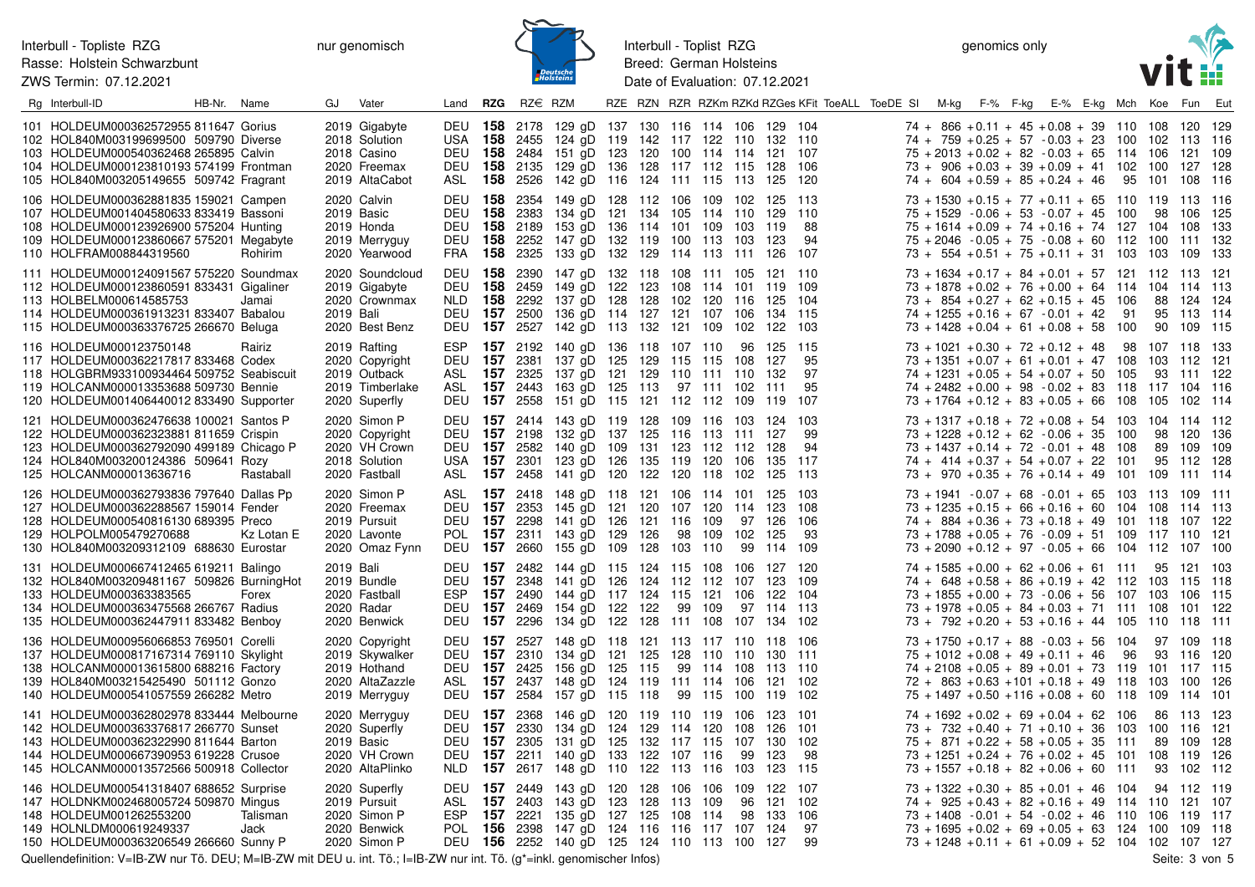ZWS Termin: 07.12.2021



Interbull - Toplist RZG Breed: German Holsteins Date of Evaluation: 07.12.2021

genomics only



| Rg Interbull-ID                                                                                                                                                                                                 | HB-Nr. Name |                  | GJ        | Vater                                                                                | Land                                | RZG                                            | $RZ\in RZM$  |                                                                                                                                                                                                                                           |  |            |        |                     |                                                | RZE RZN RZR RZKm RZKd RZGes KFit ToeALL ToeDE SI M-kg F-% F-kg E-% E-kg Mch Koe Fun Eut |  |                                                                                                                                                                                                                                                                              |  |                |            |                                                   |     |
|-----------------------------------------------------------------------------------------------------------------------------------------------------------------------------------------------------------------|-------------|------------------|-----------|--------------------------------------------------------------------------------------|-------------------------------------|------------------------------------------------|--------------|-------------------------------------------------------------------------------------------------------------------------------------------------------------------------------------------------------------------------------------------|--|------------|--------|---------------------|------------------------------------------------|-----------------------------------------------------------------------------------------|--|------------------------------------------------------------------------------------------------------------------------------------------------------------------------------------------------------------------------------------------------------------------------------|--|----------------|------------|---------------------------------------------------|-----|
| 101 HOLDEUM000362572955 811647 Gorius<br>102 HOL840M003199699500 509790 Diverse<br>103 HOLDEUM000540362468 265895 Calvin<br>104 HOLDEUM000123810193 574199 Frontman<br>105 HOL840M003205149655 509742 Fragrant  |             |                  |           | 2019 Gigabyte<br>2018 Solution<br>2018 Casino<br>2020 Freemax<br>2019 AltaCabot      | DEU<br><b>DEU</b>                   | <b>DEU 158</b>                                 |              | <b>158</b> 2178 129 gD 137 130 116 114 106 129 104<br>USA 158 2455 124 gD 119 142 117 122 110 132 110<br>2484 151 gD 123 120 100 114 114 121 107<br><b>158</b> 2135 129 gD 136 128 117 112 115<br>ASL 158 2526 142 gD 116 124 111 115 113 |  |            |        |                     | 128<br>125                                     | 106<br>120                                                                              |  | $74 + 866 + 0.11 + 45 + 0.08 + 39$ 110 108 120 129<br>$74 + 759 + 0.25 + 57 - 0.03 + 23$ 100 102 113 116<br>$75 + 2013 + 0.02 + 82 - 0.03 + 65$ 114 106 121 109<br>$73 + 906 + 0.03 + 39 + 0.09 + 41$ 102 100<br>$74 + 604 + 0.59 + 85 + 0.24 + 46$                          |  | 95 101 108 116 |            | 127 128                                           |     |
| 106 HOLDEUM000362881835 159021 Campen<br>107 HOLDEUM001404580633 833419 Bassoni<br>108 HOLDEUM000123926900 575204 Hunting<br>109 HOLDEUM000123860667 575201 Megabyte<br>110 HOLFRAM008844319560                 |             | Rohirim          |           | 2020 Calvin<br>2019 Basic<br>2019 Honda<br>2019 Merryguy<br>2020 Yearwood            | DEU<br><b>DEU 158</b><br><b>DEU</b> | 158<br><b>DEU 158</b>                          | 2383<br>2189 | <b>158</b> 2354 149 gD 128 112 106 109 102<br>134 gD 121 134 105 114 110 129<br>153 gD 136 114 101 109<br>2252 147 gD 132 119 100 113<br>FRA 158 2325 133 gD 132 129 114 113 111                                                          |  |            |        | 103<br>103          | 125 113<br>119<br>123<br>126                   | 110<br>88<br>94<br>107                                                                  |  | $73 + 1530 + 0.15 + 77 + 0.11 + 65$ 110 119 113 116<br>$75 + 1529 - 0.06 + 53 - 0.07 + 45$ 100<br>$75 + 1614 + 0.09 + 74 + 0.16 + 74$ 127 104<br>$75 + 2046 - 0.05 + 75 - 0.08 + 60$ 112 100 111 132<br>$73 + 554 + 0.51 + 75 + 0.11 + 31$ 103 103 109 133                   |  |                | 98         | 106 125<br>108 133                                |     |
| 111 HOLDEUM000124091567 575220 Soundmax<br>112 HOLDEUM000123860591 833431 Gigaliner<br>113 HOLBELM000614585753<br>114 HOLDEUM000361913231 833407 Babalou<br>115 HOLDEUM000363376725 266670 Beluga               |             | Jamai            | 2019 Bali | 2020 Soundcloud<br>2019 Gigabyte<br>2020 Crownmax<br>2020 Best Benz                  | DEU<br>NLD.                         | 158<br>- 158<br><b>DEU 157</b>                 |              | 2390 147 gD 132 118 108 111 105<br>DEU 158 2459 149 gD 122 123 108 114 101<br>2292 137 gD 128 128 102 120 116<br>2500 136 gD 114 127 121 107 106<br>DEU 157 2527 142 gD 113 132 121 109 102                                               |  |            |        |                     | 121 110<br>119 109<br>125<br>134<br>122 103    | 104<br>115                                                                              |  | $73 + 1634 + 0.17 + 84 + 0.01 + 57$ 121 112 113 121<br>$73 + 1878 + 0.02 + 76 + 0.00 + 64$ 114 104 114 113<br>$73 + 854 + 0.27 + 62 + 0.15 + 45$ 106<br>$74 + 1255 + 0.16 + 67 - 0.01 + 42$ 91<br>$73 + 1428 + 0.04 + 61 + 0.08 + 58$ 100                                    |  |                |            | 88 124 124<br>95 113 114<br>90 109 115            |     |
| 116 HOLDEUM000123750148<br>117 HOLDEUM000362217817 833468 Codex<br>118 HOLGBRM933100934464 509752 Seabiscuit<br>119 HOLCANM000013353688 509730 Bennie<br>120 HOLDEUM001406440012 833490 Supporter               |             | Rairiz           |           | 2019 Rafting<br>2020 Copyright<br>2019 Outback<br>2019 Timberlake<br>2020 Superfly   | <b>ESP</b><br>ASL                   | DEU 157                                        | ASL 157 2325 | <b>157</b> 2192 140 gD 136 118 107 110 96<br>2381 137 gD 125 129 115 115 108<br>137 gD 121 129 110 111 110<br><b>157</b> 2443 163 gD 125 113 97 111 102<br>DEU 157 2558 151 gD 115 121 112 112 109                                        |  |            |        |                     | 125<br>127<br>132<br>111<br>119                | -115<br>95<br>97<br>95<br>107                                                           |  | $73 + 1021 + 0.30 + 72 + 0.12 + 48$ 98 107 118 133<br>$73 + 1351 + 0.07 + 61 + 0.01 + 47$ 108 103 112 121<br>$74 + 1231 + 0.05 + 54 + 0.07 + 50$ 105<br>$74 + 2482 + 0.00 + 98 - 0.02 + 83$ 118 117 104 116<br>$73 + 1764 + 0.12 + 83 + 0.05 + 66$ 108 105 102 114           |  |                |            | 93 111 122                                        |     |
| 121 HOLDEUM000362476638 100021 Santos P<br>122 HOLDEUM000362323881 811659 Crispin<br>123 HOLDEUM000362792090 499189 Chicago P<br>124 HOL840M003200124386 509641 Rozy<br>125 HOLCANM000013636716                 |             | Rastaball        |           | 2020 Simon P<br>2020 Copyright<br>2020 VH Crown<br>2018 Solution<br>2020 Fastball    | DEU<br>USA<br>ASL                   | <b>DEU 157</b><br>157                          |              | <b>157</b> 2414 143 gD 119 128 109 116 103<br>DEU 157 2198 132 gD 137 125 116 113<br>2582 140 gD 109 131 123 112 112<br>2301 123 gD 126 135 119 120<br><b>157</b> 2458 141 gD 120 122 120 118                                             |  |            |        | - 111<br>106<br>102 | 124<br>127<br>128<br>135<br>125                | 103<br>99<br>94<br>117<br>113                                                           |  | $73 + 1317 + 0.18 + 72 + 0.08 + 54$ 103 104 114 112<br>$73 + 1228 + 0.12 + 62 - 0.06 + 35$ 100<br>$73 + 1437 + 0.14 + 72 - 0.01 + 48$ 108<br>$74 + 414 + 0.37 + 54 + 0.07 + 22$ 101<br>$73 + 970 + 0.35 + 76 + 0.14 + 49$ 101 109                                            |  |                |            | 98 120 136<br>89 109 109<br>95 112 128<br>111 114 |     |
| 126 HOLDEUM000362793836 797640 Dallas Pp<br>127 HOLDEUM000362288567 159014 Fender<br>128 HOLDEUM000540816130 689395 Preco<br>129 HOLPOLM005479270688<br>130 HOL840M003209312109 688630 Eurostar                 |             | Kz Lotan E       |           | 2020 Simon P<br>2020 Freemax<br>2019 Pursuit<br>2020 Lavonte<br>2020 Omaz Fynn       | DEU<br><b>DEU 157</b>               | <b>DEU 157</b><br>157                          |              | ASL 157 2418 148 gD 118 121 106 114 101<br>2353 145 gD 121 120 107 120 114 123<br>2298 141 gD 126 121 116 109<br>POL 157 2311 143 gD 129 126<br>2660 155 gD 109 128 103 110                                                               |  |            | 98 109 | 97<br>102<br>99     | 125 103<br>126<br>125<br>114 109               | 108<br>106<br>93                                                                        |  | $73 + 1941 - 0.07 + 68 - 0.01 + 65$ 103 113 109 111<br>$73 + 1235 + 0.15 + 66 + 0.16 + 60$ 104 108 114 113<br>74 + 884 + 0.36 + 73 + 0.18 + 49 101 118 107 122<br>$73 + 1788 + 0.05 + 76 - 0.09 + 51$ 109 117 110 121<br>$73 + 2090 + 0.12 + 97 - 0.05 + 66$ 104 112 107 100 |  |                |            |                                                   |     |
| 131 HOLDEUM000667412465 619211 Balingo<br>132 HOL840M003209481167 509826 BurningHot<br>133 HOLDEUM000363383565<br>134 HOLDEUM000363475568 266767 Radius<br>135 HOLDEUM000362447911 833482 Benboy                |             | Forex            | 2019 Bali | 2019 Bundle<br>2020 Fastball<br>2020 Radar<br>2020 Benwick                           | DEU<br><b>DEU</b><br><b>ESP</b>     |                                                |              | <b>157</b> 2482 144 gD 115 124 115 108<br><b>157</b> 2348 141 gD 126 124 112 112 107<br><b>157</b> 2490 144 qD 117 124 115 121 106<br>DEU 157 2469 154 gD 122 122 99 109<br>DEU 157 2296 134 gD 122 128 111 108 107                       |  |            |        | 106                 | 127 120<br>123<br>122<br>97 114 113<br>134 102 | 109<br>104                                                                              |  | $74 + 1585 + 0.00 + 62 + 0.06 + 61$ 111 95 121 103<br>$74 + 648 + 0.58 + 86 + 0.19 + 42$ 112 103 115 118<br>$73 + 1855 + 0.00 + 73 - 0.06 + 56$ 107 103 106 115<br>$73 + 1978 + 0.05 + 84 + 0.03 + 71$ 111 108 101<br>$73 + 792 + 0.20 + 53 + 0.16 + 44$ 105 110 118 111     |  |                |            |                                                   | 122 |
| 136 HOLDEUM000956066853 769501 Corelli<br>137 HOLDEUM000817167314 769110 Skylight<br>138 HOLCANM000013615800 688216 Factory<br>139 HOL840M003215425490 501112 Gonzo<br>140 HOLDEUM000541057559 266282 Metro     |             |                  |           | 2020 Copyright<br>2019 Skywalker<br>2019 Hothand<br>2020 AltaZazzle<br>2019 Merryguy | ASL<br><b>DEU 157</b>               | <b>DEU 157</b>                                 |              | DEU 157 2527 148 gD 118 121 113 117 110 118 106<br>2310 134 gD 121 125 128 110 110<br>DEU 157 2425 156 gD 125 115<br><b>157</b> 2437 148 gD 124 119 111 114 106<br>2584 157 gD 115 118 99 115 100                                         |  | 99 114 108 |        |                     | 130 111<br>113 110<br>121 102<br>119           | 102                                                                                     |  | $73 + 1750 + 0.17 + 88 - 0.03 + 56$ 104<br>$75 + 1012 + 0.08 + 49 + 0.11 + 46$ 96<br>$74 + 2108 + 0.05 + 89 + 0.01 + 73$ 119 101 117 115<br>$72 + 863 + 0.63 + 101 + 0.18 + 49$ 118 103 100 126<br>$75 + 1497 + 0.50 + 116 + 0.08 + 60$ 118 109 114 101                      |  |                | 97 109 118 | 93 116 120                                        |     |
| 141 HOLDEUM000362802978 833444 Melbourne<br>142 HOLDEUM000363376817 266770 Sunset<br>143 HOLDEUM000362322990 811644 Barton<br>144 HOLDEUM000667390953 619228 Crusoe<br>145 HOLCANM000013572566 500918 Collector |             |                  |           | 2020 Merryguy<br>2020 Superfly<br>2019 Basic<br>2020 VH Crown<br>2020 AltaPlinko     | DEU<br>NLD.                         | <b>DEU 157</b><br><b>DEU 157</b><br>157<br>157 |              | 2368 146 gD 120 119 110 119 106<br>DEU 157 2330 134 gD 124 129 114 120 108<br>2305 131 gD 125 132 117 115 107<br>2211 140 gD 133 122 107 116<br>2617 148 gD 110 122 113 116                                                               |  |            |        | 99<br>103           | 123 101<br>126<br>130<br>123<br>123            | 101<br>102<br>98<br>-115                                                                |  | $74 + 1692 + 0.02 + 69 + 0.04 + 62$ 106<br>$73 + 732 + 0.40 + 71 + 0.10 + 36$ 103 100 116 121<br>$75 + 871 + 0.22 + 58 + 0.05 + 35$ 111<br>$73 + 1251 + 0.24 + 76 + 0.02 + 45$ 101 108 119 126<br>$73 + 1557 + 0.18 + 82 + 0.06 + 60$ 111                                    |  |                | - 93       | 86 113 123<br>89 109 128<br>102 112               |     |
| 146 HOLDEUM000541318407 688652 Surprise<br>147 HOLDNKM002468005724 509870 Mingus<br>148 HOLDEUM001262553200<br>149 HOLNLDM000619249337<br>150 HOLDEUM000363206549 266660 Sunny P                                |             | Talisman<br>Jack |           | 2020 Superfly<br>2019 Pursuit<br>2020 Simon P<br>2020 Benwick<br>2020 Simon P        | ASL<br><b>ESP</b>                   | 157                                            |              | DEU 157 2449 143 gD 120 128 106 106<br>2403 143 gD 123 128 113 109<br><b>157</b> 2221 135 gD 127 125 108 114<br>POL 156 2398 147 gD 124 116 116 117 107<br>DEU 156 2252 140 gD 125 124 110 113 100 127                                    |  |            |        | 109<br>96<br>98     | 122 107<br>121<br>133<br>124                   | 102<br>106<br>97<br>-99                                                                 |  | $73 + 1322 + 0.30 + 85 + 0.01 + 46$ 104<br>$74 + 925 + 0.43 + 82 + 0.16 + 49$ 114 110 121 107<br>$73 + 1408 - 0.01 + 54 - 0.02 + 46$ 110 106 119 117<br>$73 + 1695 + 0.02 + 69 + 0.05 + 63$ 124 100 109 118<br>$73 + 1248 + 0.11 + 61 + 0.09 + 52$ 104 102 107 127           |  |                |            | 94 112 119                                        |     |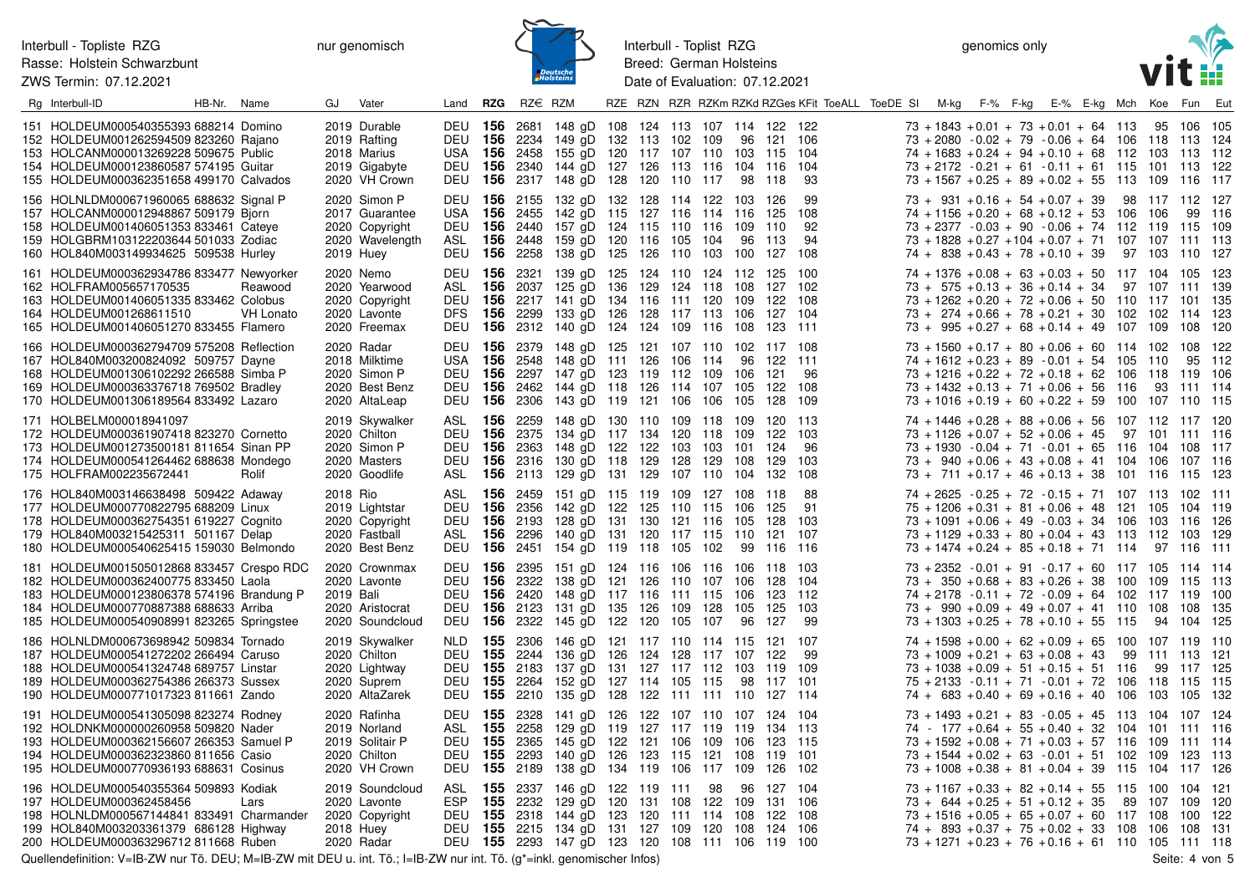ZWS Termin: 07.12.2021

nur genomisch



Interbull - Toplist RZG Breed: German Holsteins Date of Evaluation: 07.12.2021

genomics only



| Rg Interbull-ID                                                                                                                                                                                                      | HB-Nr. Name |                      | GJ        | Vater                                                                            | Land                                                                 | RZG        | $RZ \in RZM$ |                                                                                                                                                                                                                                        |  |    |    |                                         | RZE RZN RZR RZKm RZKd RZGes KFit ToeALL ToeDE SI | M-kg |  | F-% F-kg E-% E-kg Mch Koe Fun Eut                                                                                                                                                                                                                                              |  |                                  |            |  |
|----------------------------------------------------------------------------------------------------------------------------------------------------------------------------------------------------------------------|-------------|----------------------|-----------|----------------------------------------------------------------------------------|----------------------------------------------------------------------|------------|--------------|----------------------------------------------------------------------------------------------------------------------------------------------------------------------------------------------------------------------------------------|--|----|----|-----------------------------------------|--------------------------------------------------|------|--|--------------------------------------------------------------------------------------------------------------------------------------------------------------------------------------------------------------------------------------------------------------------------------|--|----------------------------------|------------|--|
| 151 HOLDEUM000540355393 688214 Domino<br>152 HOLDEUM001262594509 823260 Rajano<br>153 HOLCANM000013269228 509675 Public<br>154 HOLDEUM000123860587 574195 Guitar<br>155 HOLDEUM000362351658 499170 Calvados          |             |                      |           | 2019 Durable<br>2019 Rafting<br>2018 Marius<br>2019 Gigabyte<br>2020 VH Crown    | <b>DEU 156</b><br>DEU<br>DEU                                         | 156        |              | DEU 156 2681 148 gD 108 124 113 107 114 122 122<br>2234 149 gD 132 113 102 109<br>USA 156 2458 155 qD 120 117 107 110 103 115 104<br><b>156</b> 2340 144 gD 127 126 113 116 104 116 104<br>2317 148 gD 128 120 110 117                 |  |    |    | 96 121 106<br>98 118                    | 93                                               |      |  | $73 + 1843 + 0.01 + 73 + 0.01 + 64$ 113 95 106 105<br>$73 + 2080 - 0.02 + 79 - 0.06 + 64$ 106 118 113 124<br>$74 + 1683 + 0.24 + 94 + 0.10 + 68$ 112 103 113 112<br>$73 + 2172 - 0.21 + 61 - 0.11 + 61$ 115 101 113 122<br>$73 + 1567 + 0.25 + 89 + 0.02 + 55$ 113 109 116 117 |  |                                  |            |  |
| 156 HOLNLDM000671960065 688632 Signal P<br>157 HOLCANM000012948867 509179 Bjorn<br>158 HOLDEUM001406051353 833461 Cateye<br>159 HOLGBRM103122203644 501033 Zodiac<br>160 HOL840M003149934625 509538 Hurley           |             |                      |           | 2020 Simon P<br>2017 Guarantee<br>2020 Copyright<br>2020 Wavelength<br>2019 Huey | <b>DEU 156</b><br>USA<br>DEU<br>DEU 156 2258                         | 156<br>156 |              | 2155 132 gD 132 128 114 122 103 126<br>2455 142 gD 115 127 116 114 116 125<br>2440 157 gD 124 115 110 116 109 110<br>ASL 156 2448 159 gD 120 116 105 104<br>138 gD 125 126 110 103 100                                                 |  |    |    | 96 113<br>127 108                       | 99<br>108<br>92<br>94                            |      |  | $73 + 931 + 0.16 + 54 + 0.07 + 39$<br>$74 + 1156 + 0.20 + 68 + 0.12 + 53$ 106 106<br>$73 + 2377 - 0.03 + 90 - 0.06 + 74$ 112 119 115 109<br>73 + 1828 + 0.27 + 104 + 0.07 + 71 107 107 111 113<br>$74 + 838 + 0.43 + 78 + 0.10 + 39$                                           |  | 98 117 112 127<br>97 103 110 127 | 99 116     |  |
| 161 HOLDEUM000362934786 833477 Newyorker<br>162 HOLFRAM005657170535<br>163 HOLDEUM001406051335 833462 Colobus<br>164 HOLDEUM001268611510<br>165 HOLDEUM001406051270 833455 Flamero                                   |             | Reawood<br>VH Lonato |           | 2020 Nemo<br>2020 Yearwood<br>2020 Copyright<br>2020 Lavonte<br>2020 Freemax     | ASL <b>156</b><br>DEU                                                |            |              | DEU 156 2321 139 gD 125 124 110 124 112 125 100<br>2037 125 gD 136 129 124 118 108 127 102<br><b>156</b> 2217 141 gD 134 116 111 120 109<br>DFS 156 2299 133 gD 126 128 117 113 106<br>DEU 156 2312 140 gD 124 124 109 116 108 123 111 |  |    |    | 122 108<br>127 104                      |                                                  |      |  | $74 + 1376 + 0.08 + 63 + 0.03 + 50$ 117 104 105 123<br>$73 + 575 + 0.13 + 36 + 0.14 + 34$ 97 107 111 139<br>$73 + 1262 + 0.20 + 72 + 0.06 + 50$ 110 117 101 135<br>$73 + 274 + 0.66 + 78 + 0.21 + 30$ 102 102 114 123<br>$73 + 995 + 0.27 + 68 + 0.14 + 49$ 107 109 108 120    |  |                                  |            |  |
| 166 HOLDEUM000362794709 575208 Reflection<br>167 HOL840M003200824092 509757 Dayne<br>168 HOLDEUM001306102292 266588 Simba P<br>169 HOLDEUM000363376718 769502 Bradley<br>170 HOLDEUM001306189564 833492 Lazaro       |             |                      |           | 2020 Radar<br>2018 Milktime<br>2020 Simon P<br>2020 Best Benz<br>2020 AltaLeap   | <b>DEU 156</b><br>USA<br><b>DEU 156</b><br><b>DEU 156</b>            | 156        | 2548         | 2379 148 gD 125 121 107 110 102 117 108<br>148 gD 111 126 106 114<br>2297 147 gD 123 119 112 109 106<br>2462 144 gD 118 126 114 107 105<br>DEU 156 2306 143 gD 119 121 106 106 105                                                     |  |    | 96 | 122 111<br>121<br>122 108<br>128 109    | 96                                               |      |  | $73 + 1560 + 0.17 + 80 + 0.06 + 60$ 114 102 108 122<br>$74 + 1612 + 0.23 + 89 - 0.01 + 54$ 105 110<br>$73 + 1216 + 0.22 + 72 + 0.18 + 62$ 106 118 119 106<br>$73 + 1432 + 0.13 + 71 + 0.06 + 56$ 116<br>$73 + 1016 + 0.19 + 60 + 0.22 + 59$ 100 107 110 115                    |  | 93 111 114                       | 95 112     |  |
| 171 HOLBELM000018941097<br>172 HOLDEUM000361907418 823270 Cornetto<br>173 HOLDEUM001273500181 811654 Sinan PP<br>174 HOLDEUM000541264462 688638 Mondego<br>175 HOLFRAM002235672441                                   |             | Rolif                |           | 2019 Skywalker<br>2020 Chilton<br>2020 Simon P<br>2020 Masters<br>2020 Goodlife  | ASL <b>156</b><br>DEU<br><b>DEU 156</b><br>ASL                       | - 156      | 2259         | 148 gD 130 110 109 118 109 120 113<br>2375 134 gD 117 134 120 118 109<br>2363 148 qD 122 122 103 103 101 124<br>DEU 156 2316 130 gD 118 129 128 129 108<br><b>156</b> 2113 129 gD 131 129 107 110 104                                  |  |    |    | 122 103<br>129 103<br>132               | 96<br>108                                        |      |  | $74 + 1446 + 0.28 + 88 + 0.06 + 56$ 107 112 117 120<br>$73 + 1126 + 0.07 + 52 + 0.06 + 45$ 97 101 111 116<br>$73 + 1930 - 0.04 + 71 - 0.01 + 65$ 116 104 108 117<br>$73 + 940 + 0.06 + 43 + 0.08 + 41$ 104 106 107 116<br>$73 + 711 + 0.17 + 46 + 0.13 + 38$ 101 116 115 123   |  |                                  |            |  |
| 176 HOL840M003146638498 509422 Adaway<br>177 HOLDEUM000770822795 688209 Linux<br>178 HOLDEUM000362754351 619227 Cognito<br>179 HOL840M003215425311 501167 Delap<br>180 HOLDEUM000540625415 159030 Belmondo           |             |                      | 2018 Rio  | 2019 Lightstar<br>2020 Copyright<br>2020 Fastball<br>2020 Best Benz              | ASL<br>ASL                                                           | 156        |              | <b>156</b> 2459 151 gD 115 119 109 127 108 118<br>DEU 156 2356 142 gD 122 125 110 115 106<br>DEU 156 2193 128 gD 131 130 121 116 105<br>2296 140 gD 131 120 117 115 110<br>DEU 156 2451 154 gD 119 118 105 102                         |  |    |    | 125<br>128 103<br>121 107<br>99 116 116 | 88<br>91                                         |      |  | $74 + 2625 - 0.25 + 72 - 0.15 + 71$ 107 113 102 111<br>$75 + 1206 + 0.31 + 81 + 0.06 + 48$ 121 105 104 119<br>$73 + 1091 + 0.06 + 49 - 0.03 + 34$ 106 103 116 126<br>$73 + 1129 + 0.33 + 80 + 0.04 + 43$ 113 112 103 129<br>$73 + 1474 + 0.24 + 85 + 0.18 + 71$ 114 97 116 111 |  |                                  |            |  |
| 181 HOLDEUM001505012868 833457 Crespo RDC<br>182 HOLDEUM000362400775 833450 Laola<br>183 HOLDEUM000123806378 574196 Brandung P<br>184 HOLDEUM000770887388 688633 Arriba<br>185 HOLDEUM000540908991 823265 Springstee |             |                      | 2019 Bali | 2020 Crownmax<br>2020 Lavonte<br>2020 Aristocrat<br>2020 Soundcloud              | <b>DEU 156</b><br><b>DEU 156</b><br><b>DEU 156</b><br><b>DEU 156</b> |            | 2395<br>2322 | 151 gD 124 116 106 116 106 118 103<br>138 gD 121 126 110 107 106 128 104<br>2420 148 gD 117 116 111 115 106<br>2123 131 gD 135 126 109 128 105<br>DEU 156 2322 145 gD 122 120 105 107                                                  |  |    | 96 | 123 112<br>125 103<br>127               | 99                                               |      |  | 73 + 2352 - 0.01 + 91 - 0.17 + 60 117 105 114 114<br>$73 + 350 + 0.68 + 83 + 0.26 + 38$ 100 109 115 113<br>$74 + 2178 - 0.11 + 72 - 0.09 + 64$ 102 117 119 100<br>$73 + 990 + 0.09 + 49 + 0.07 + 41$ 110 108 108 135<br>$73 + 1303 + 0.25 + 78 + 0.10 + 55$ 115 94 104 125     |  |                                  |            |  |
| 186 HOLNLDM000673698942 509834 Tornado<br>187 HOLDEUM000541272202 266494 Caruso<br>188 HOLDEUM000541324748 689757 Linstar<br>189 HOLDEUM000362754386 266373 Sussex<br>190 HOLDEUM000771017323 811661 Zando           |             |                      |           | 2019 Skywalker<br>2020 Chilton<br>2020 Lightway<br>2020 Suprem<br>2020 AltaZarek | NLD 155<br><b>DEU 155</b><br>DEU 155 2183<br><b>DEU 155</b><br>DEU   | 155        |              | 2306 146 gD 121 117 110 114 115 121 107<br>2244 136 qD 126 124 128 117 107 122<br>137 gD 131 127 117 112 103 119 109<br>2264 152 gD 127 114 105 115<br>2210 135 gD 128 122 111 111 110                                                 |  |    |    | 98 117 101<br>127 114                   | 99                                               |      |  | $74 + 1598 + 0.00 + 62 + 0.09 + 65$ 100 107 119 110<br>$73 + 1009 + 0.21 + 63 + 0.08 + 43$<br>$73 + 1038 + 0.09 + 51 + 0.15 + 51$ 116<br>$75 + 2133 - 0.11 + 71 - 0.01 + 72$ 106 118 115 115<br>$74 + 683 + 0.40 + 69 + 0.16 + 40$ 106 103 105 132                             |  | 99 111 113 121                   | 99 117 125 |  |
| 191 HOLDEUM000541305098 823274 Rodney<br>192 HOLDNKM000000260958 509820 Nader<br>193 HOLDEUM000362156607 266353 Samuel P<br>194 HOLDEUM000362323860 811656 Casio<br>195 HOLDEUM000770936193 688631 Cosinus           |             |                      |           | 2020 Rafinha<br>2019 Norland<br>2019 Solitair P<br>2020 Chilton<br>2020 VH Crown | ASL <b>155</b><br><b>DEU 155</b><br>DEU<br>DEU 155 2189              | 155        | 2258<br>2365 | DEU 155 2328 141 gD 126 122 107 110 107 124 104<br>129 gD 119 127 117 119 119 134 113<br>145 gD 122 121 106 109 106<br>2293 140 gD 126 123 115 121 108 119 101<br>138 gD 134 119 106 117 109 126 102                                   |  |    |    | 123 115                                 |                                                  |      |  | $73 + 1493 + 0.21 + 83 - 0.05 + 45$ 113 104 107 124<br>$74 - 177 + 0.64 + 55 + 0.40 + 32$ 104 101 111 116<br>$73 + 1592 + 0.08 + 71 + 0.03 + 57$ 116 109 111 114<br>$73 + 1544 + 0.02 + 63 - 0.01 + 51$ 102 109 123 113<br>$73 + 1008 + 0.38 + 81 + 0.04 + 39$ 115 104 117 126 |  |                                  |            |  |
| 196 HOLDEUM000540355364 509893 Kodiak<br>197 HOLDEUM000362458456<br>198 HOLNLDM000567144841 833491 Charmander<br>199 HOL840M003203361379 686128 Highway<br>200 HOLDEUM000363296712 811668 Ruben                      |             | Lars                 |           | 2019 Soundcloud<br>2020 Lavonte<br>2020 Copyright<br>2018 Huey<br>2020 Radar     | ESP 155                                                              |            |              | ASL 155 2337 146 gD 122 119 111<br>2232 129 gD 120 131 108 122 109<br>DEU 155 2318 144 gD 123 120 111 114 108 122 108<br>DEU 155 2215 134 gD 131 127 109 120 108 124 106<br>DEU 155 2293 147 gD 123 120 108 111 106 119 100            |  | 98 |    | 96 127 104<br>131 106                   |                                                  |      |  | $73 + 1167 + 0.33 + 82 + 0.14 + 55$ 115 100 104 121<br>$73 + 644 + 0.25 + 51 + 0.12 + 35$<br>$73 + 1516 + 0.05 + 65 + 0.07 + 60$ 117 108 100 122<br>$74 + 893 + 0.37 + 75 + 0.02 + 33$ 108 106 108 131<br>$73 + 1271 + 0.23 + 76 + 0.16 + 61$ 110 105 111 118                  |  | 89 107 109 120                   |            |  |